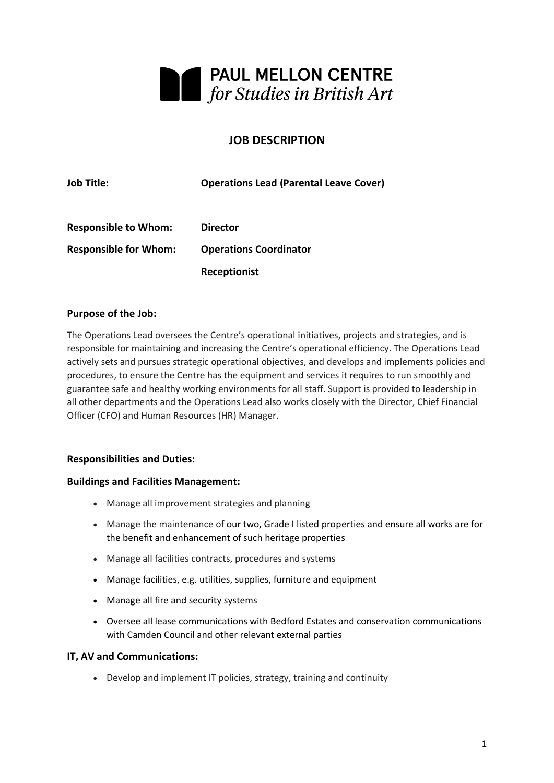

## **JOB DESCRIPTION**

| <b>Job Title:</b>            | <b>Operations Lead (Parental Leave Cover)</b> |
|------------------------------|-----------------------------------------------|
| <b>Responsible to Whom:</b>  | <b>Director</b>                               |
| <b>Responsible for Whom:</b> | <b>Operations Coordinator</b>                 |
|                              | Receptionist                                  |

#### **Purpose of the Job:**

The Operations Lead oversees the Centre's operational initiatives, projects and strategies, and is responsible for maintaining and increasing the Centre's operational efficiency. The Operations Lead actively sets and pursues strategic operational objectives, and develops and implements policies and procedures, to ensure the Centre has the equipment and services it requires to run smoothly and guarantee safe and healthy working environments for all staff. Support is provided to leadership in all other departments and the Operations Lead also works closely with the Director, Chief Financial Officer (CFO) and Human Resources (HR) Manager.

#### **Responsibilities and Duties:**

#### **Buildings and Facilities Management:**

- Manage all improvement strategies and planning
- Manage the maintenance of our two, Grade I listed properties and ensure all works are for the benefit and enhancement of such heritage properties
- Manage all facilities contracts, procedures and systems
- Manage facilities, e.g. utilities, supplies, furniture and equipment
- Manage all fire and security systems
- Oversee all lease communications with Bedford Estates and conservation communications with Camden Council and other relevant external parties

#### **IT, AV and Communications:**

• Develop and implement IT policies, strategy, training and continuity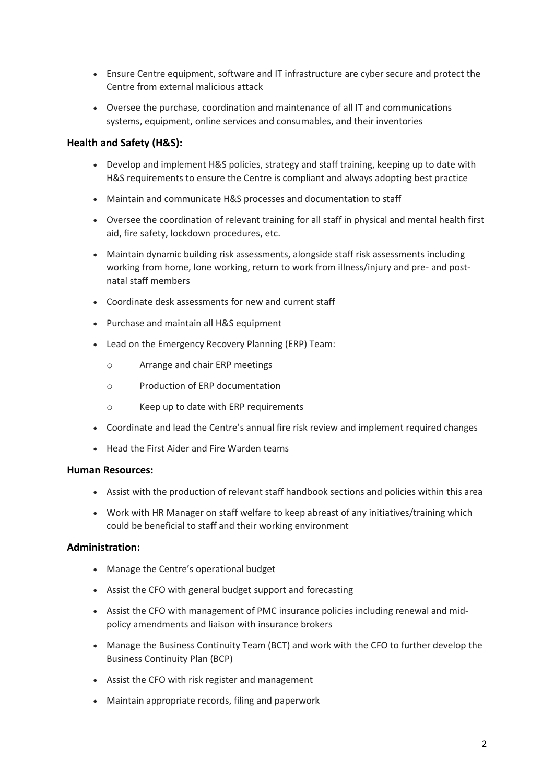- Ensure Centre equipment, software and IT infrastructure are cyber secure and protect the Centre from external malicious attack
- Oversee the purchase, coordination and maintenance of all IT and communications systems, equipment, online services and consumables, and their inventories

## **Health and Safety (H&S):**

- Develop and implement H&S policies, strategy and staff training, keeping up to date with H&S requirements to ensure the Centre is compliant and always adopting best practice
- Maintain and communicate H&S processes and documentation to staff
- Oversee the coordination of relevant training for all staff in physical and mental health first aid, fire safety, lockdown procedures, etc.
- Maintain dynamic building risk assessments, alongside staff risk assessments including working from home, lone working, return to work from illness/injury and pre- and postnatal staff members
- Coordinate desk assessments for new and current staff
- Purchase and maintain all H&S equipment
- Lead on the Emergency Recovery Planning (ERP) Team:
	- o Arrange and chair ERP meetings
	- o Production of ERP documentation
	- o Keep up to date with ERP requirements
- Coordinate and lead the Centre's annual fire risk review and implement required changes
- Head the First Aider and Fire Warden teams

#### **Human Resources:**

- Assist with the production of relevant staff handbook sections and policies within this area
- Work with HR Manager on staff welfare to keep abreast of any initiatives/training which could be beneficial to staff and their working environment

#### **Administration:**

- Manage the Centre's operational budget
- Assist the CFO with general budget support and forecasting
- Assist the CFO with management of PMC insurance policies including renewal and midpolicy amendments and liaison with insurance brokers
- Manage the Business Continuity Team (BCT) and work with the CFO to further develop the Business Continuity Plan (BCP)
- Assist the CFO with risk register and management
- Maintain appropriate records, filing and paperwork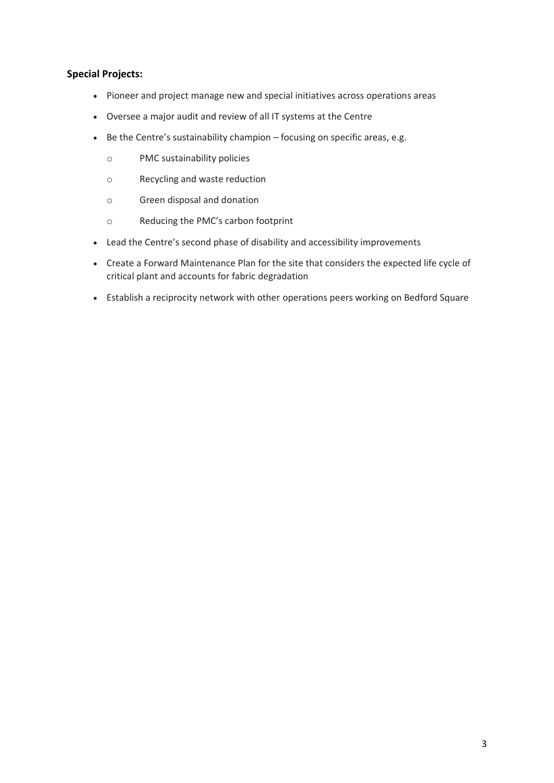## **Special Projects:**

- Pioneer and project manage new and special initiatives across operations areas
- Oversee a major audit and review of all IT systems at the Centre
- Be the Centre's sustainability champion focusing on specific areas, e.g.
	- o PMC sustainability policies
	- o Recycling and waste reduction
	- o Green disposal and donation
	- o Reducing the PMC's carbon footprint
- Lead the Centre's second phase of disability and accessibility improvements
- Create a Forward Maintenance Plan for the site that considers the expected life cycle of critical plant and accounts for fabric degradation
- Establish a reciprocity network with other operations peers working on Bedford Square